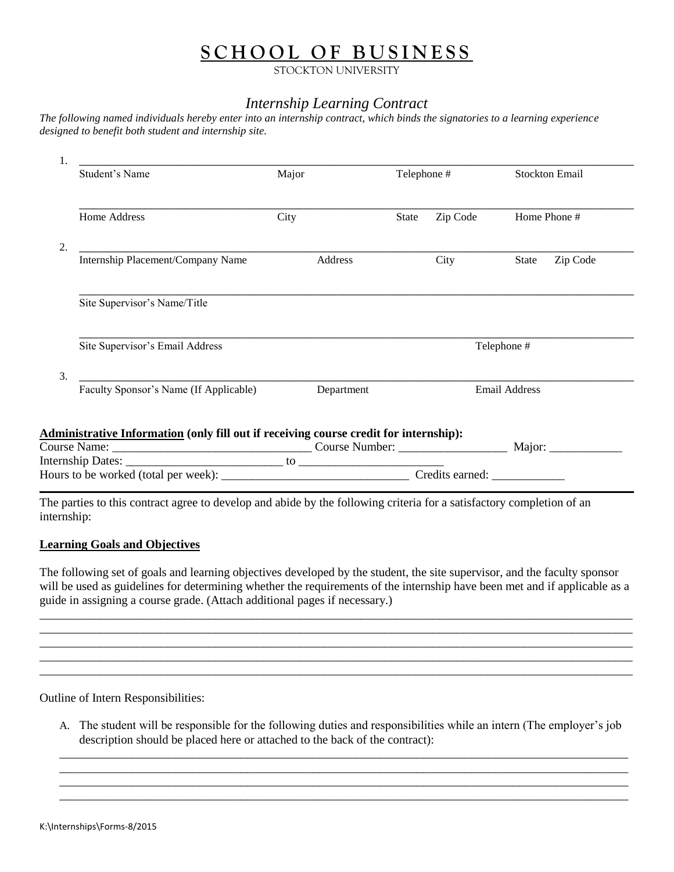# SCHOOL OF BUSINESS

STOCKTON UNIVERSITY

## *Internship Learning Contract*

*The following named individuals hereby enter into an internship contract, which binds the signatories to a learning experience designed to benefit both student and internship site.*

| Student's Name                                                                        | Major      | Telephone #  |                      | <b>Stockton Email</b> |
|---------------------------------------------------------------------------------------|------------|--------------|----------------------|-----------------------|
| Home Address                                                                          | City       | <b>State</b> | Zip Code             | Home Phone #          |
| Internship Placement/Company Name                                                     | Address    |              | City                 | Zip Code<br>State     |
|                                                                                       |            |              |                      |                       |
| Site Supervisor's Name/Title                                                          |            |              |                      |                       |
| Site Supervisor's Email Address                                                       |            |              | Telephone #          |                       |
| Faculty Sponsor's Name (If Applicable)                                                | Department |              | <b>Email Address</b> |                       |
| Administrative Information (only fill out if receiving course credit for internship): |            |              |                      |                       |
|                                                                                       |            |              |                      |                       |
|                                                                                       |            |              |                      |                       |

The parties to this contract agree to develop and abide by the following criteria for a satisfactory completion of an internship:

#### **Learning Goals and Objectives**

The following set of goals and learning objectives developed by the student, the site supervisor, and the faculty sponsor will be used as guidelines for determining whether the requirements of the internship have been met and if applicable as a guide in assigning a course grade. (Attach additional pages if necessary.)

\_\_\_\_\_\_\_\_\_\_\_\_\_\_\_\_\_\_\_\_\_\_\_\_\_\_\_\_\_\_\_\_\_\_\_\_\_\_\_\_\_\_\_\_\_\_\_\_\_\_\_\_\_\_\_\_\_\_\_\_\_\_\_\_\_\_\_\_\_\_\_\_\_\_\_\_\_\_\_\_\_\_\_\_\_\_\_\_\_\_\_\_\_\_\_\_\_\_  $\overline{\phantom{a}}$  , and the set of the set of the set of the set of the set of the set of the set of the set of the set of the set of the set of the set of the set of the set of the set of the set of the set of the set of the s \_\_\_\_\_\_\_\_\_\_\_\_\_\_\_\_\_\_\_\_\_\_\_\_\_\_\_\_\_\_\_\_\_\_\_\_\_\_\_\_\_\_\_\_\_\_\_\_\_\_\_\_\_\_\_\_\_\_\_\_\_\_\_\_\_\_\_\_\_\_\_\_\_\_\_\_\_\_\_\_\_\_\_\_\_\_\_\_\_\_\_\_\_\_\_\_\_\_

\_\_\_\_\_\_\_\_\_\_\_\_\_\_\_\_\_\_\_\_\_\_\_\_\_\_\_\_\_\_\_\_\_\_\_\_\_\_\_\_\_\_\_\_\_\_\_\_\_\_\_\_\_\_\_\_\_\_\_\_\_\_\_\_\_\_\_\_\_\_\_\_\_\_\_\_\_\_\_\_\_\_\_\_\_\_\_\_\_\_\_\_\_\_\_\_\_\_

Outline of Intern Responsibilities:

A. The student will be responsible for the following duties and responsibilities while an intern (The employer's job description should be placed here or attached to the back of the contract):

\_\_\_\_\_\_\_\_\_\_\_\_\_\_\_\_\_\_\_\_\_\_\_\_\_\_\_\_\_\_\_\_\_\_\_\_\_\_\_\_\_\_\_\_\_\_\_\_\_\_\_\_\_\_\_\_\_\_\_\_\_\_\_\_\_\_\_\_\_\_\_\_\_\_\_\_\_\_\_\_\_\_\_\_\_\_\_\_\_\_\_\_\_\_ \_\_\_\_\_\_\_\_\_\_\_\_\_\_\_\_\_\_\_\_\_\_\_\_\_\_\_\_\_\_\_\_\_\_\_\_\_\_\_\_\_\_\_\_\_\_\_\_\_\_\_\_\_\_\_\_\_\_\_\_\_\_\_\_\_\_\_\_\_\_\_\_\_\_\_\_\_\_\_\_\_\_\_\_\_\_\_\_\_\_\_\_\_\_